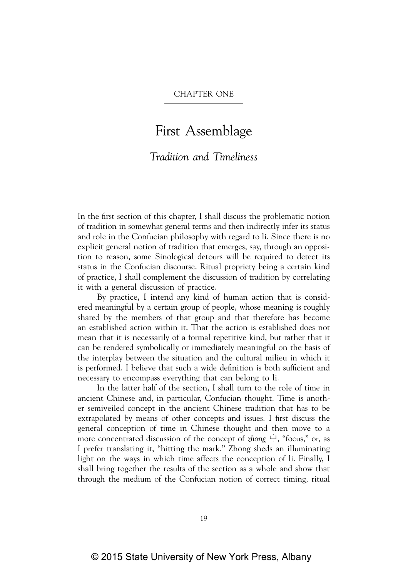### CHAPTER ONE

# First Assemblage

# *Tradition and Timeliness*

In the first section of this chapter, I shall discuss the problematic notion of tradition in somewhat general terms and then indirectly infer its status and role in the Confucian philosophy with regard to li. Since there is no explicit general notion of tradition that emerges, say, through an opposition to reason, some Sinological detours will be required to detect its status in the Confucian discourse. Ritual propriety being a certain kind of practice, I shall complement the discussion of tradition by correlating it with a general discussion of practice.

By practice, I intend any kind of human action that is considered meaningful by a certain group of people, whose meaning is roughly shared by the members of that group and that therefore has become an established action within it. That the action is established does not mean that it is necessarily of a formal repetitive kind, but rather that it can be rendered symbolically or immediately meaningful on the basis of the interplay between the situation and the cultural milieu in which it is performed. I believe that such a wide definition is both sufficient and necessary to encompass everything that can belong to li.

In the latter half of the section, I shall turn to the role of time in ancient Chinese and, in particular, Confucian thought. Time is another semiveiled concept in the ancient Chinese tradition that has to be extrapolated by means of other concepts and issues. I first discuss the general conception of time in Chinese thought and then move to a more concentrated discussion of the concept of *zhong* 中, "focus," or, as I prefer translating it, "hitting the mark." Zhong sheds an illuminating light on the ways in which time affects the conception of li. Finally, I shall bring together the results of the section as a whole and show that through the medium of the Confucian notion of correct timing, ritual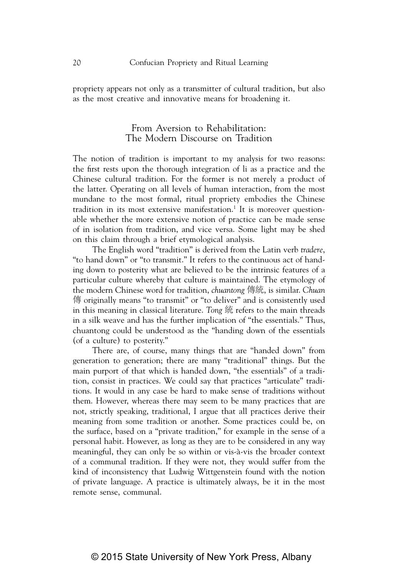propriety appears not only as a transmitter of cultural tradition, but also as the most creative and innovative means for broadening it.

## From Aversion to Rehabilitation: The Modern Discourse on Tradition

The notion of tradition is important to my analysis for two reasons: the first rests upon the thorough integration of li as a practice and the Chinese cultural tradition. For the former is not merely a product of the latter. Operating on all levels of human interaction, from the most mundane to the most formal, ritual propriety embodies the Chinese tradition in its most extensive manifestation.<sup>1</sup> It is moreover questionable whether the more extensive notion of practice can be made sense of in isolation from tradition, and vice versa. Some light may be shed on this claim through a brief etymological analysis.

The English word "tradition" is derived from the Latin verb *tradere*, "to hand down" or "to transmit." It refers to the continuous act of handing down to posterity what are believed to be the intrinsic features of a particular culture whereby that culture is maintained. The etymology of the modern Chinese word for tradition, *chuantong* 傳統, is similar. *Chuan*  傳 originally means "to transmit" or "to deliver" and is consistently used in this meaning in classical literature. *Tong* 統 refers to the main threads in a silk weave and has the further implication of "the essentials." Thus, chuantong could be understood as the "handing down of the essentials (of a culture) to posterity."

There are, of course, many things that are "handed down" from generation to generation; there are many "traditional" things. But the main purport of that which is handed down, "the essentials" of a tradition, consist in practices. We could say that practices "articulate" traditions. It would in any case be hard to make sense of traditions without them. However, whereas there may seem to be many practices that are not, strictly speaking, traditional, I argue that all practices derive their meaning from some tradition or another. Some practices could be, on the surface, based on a "private tradition," for example in the sense of a personal habit. However, as long as they are to be considered in any way meaningful, they can only be so within or vis-à-vis the broader context of a communal tradition. If they were not, they would suffer from the kind of inconsistency that Ludwig Wittgenstein found with the notion of private language. A practice is ultimately always, be it in the most remote sense, communal.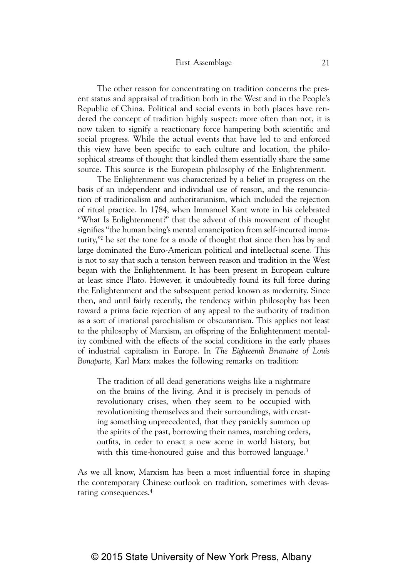The other reason for concentrating on tradition concerns the present status and appraisal of tradition both in the West and in the People's Republic of China. Political and social events in both places have rendered the concept of tradition highly suspect: more often than not, it is now taken to signify a reactionary force hampering both scientific and social progress. While the actual events that have led to and enforced this view have been specific to each culture and location, the philosophical streams of thought that kindled them essentially share the same source. This source is the European philosophy of the Enlightenment.

The Enlightenment was characterized by a belief in progress on the basis of an independent and individual use of reason, and the renunciation of traditionalism and authoritarianism, which included the rejection of ritual practice. In 1784, when Immanuel Kant wrote in his celebrated "What Is Enlightenment?" that the advent of this movement of thought signifies "the human being's mental emancipation from self-incurred immaturity,"2 he set the tone for a mode of thought that since then has by and large dominated the Euro-American political and intellectual scene. This is not to say that such a tension between reason and tradition in the West began with the Enlightenment. It has been present in European culture at least since Plato. However, it undoubtedly found its full force during the Enlightenment and the subsequent period known as modernity. Since then, and until fairly recently, the tendency within philosophy has been toward a prima facie rejection of any appeal to the authority of tradition as a sort of irrational parochialism or obscurantism. This applies not least to the philosophy of Marxism, an offspring of the Enlightenment mentality combined with the effects of the social conditions in the early phases of industrial capitalism in Europe. In *The Eighteenth Brumaire of Louis Bonaparte*, Karl Marx makes the following remarks on tradition:

The tradition of all dead generations weighs like a nightmare on the brains of the living. And it is precisely in periods of revolutionary crises, when they seem to be occupied with revolutionizing themselves and their surroundings, with creating something unprecedented, that they panickly summon up the spirits of the past, borrowing their names, marching orders, outfits, in order to enact a new scene in world history, but with this time-honoured guise and this borrowed language.<sup>3</sup>

As we all know, Marxism has been a most influential force in shaping the contemporary Chinese outlook on tradition, sometimes with devastating consequences.4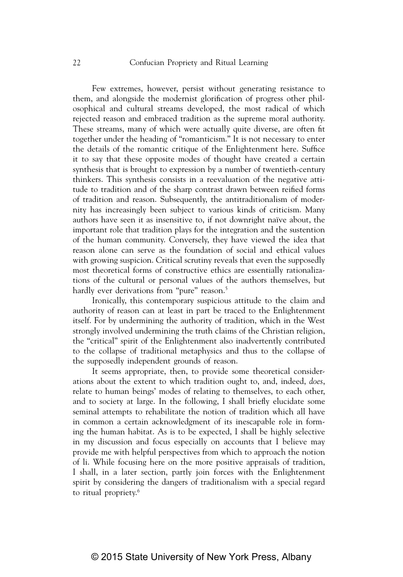Few extremes, however, persist without generating resistance to them, and alongside the modernist glorification of progress other philosophical and cultural streams developed, the most radical of which rejected reason and embraced tradition as the supreme moral authority. These streams, many of which were actually quite diverse, are often fit together under the heading of "romanticism." It is not necessary to enter the details of the romantic critique of the Enlightenment here. Suffice it to say that these opposite modes of thought have created a certain synthesis that is brought to expression by a number of twentieth-century thinkers. This synthesis consists in a reevaluation of the negative attitude to tradition and of the sharp contrast drawn between reified forms of tradition and reason. Subsequently, the antitraditionalism of modernity has increasingly been subject to various kinds of criticism. Many authors have seen it as insensitive to, if not downright naïve about, the important role that tradition plays for the integration and the sustention of the human community. Conversely, they have viewed the idea that reason alone can serve as the foundation of social and ethical values with growing suspicion. Critical scrutiny reveals that even the supposedly most theoretical forms of constructive ethics are essentially rationalizations of the cultural or personal values of the authors themselves, but hardly ever derivations from "pure" reason.<sup>5</sup>

Ironically, this contemporary suspicious attitude to the claim and authority of reason can at least in part be traced to the Enlightenment itself. For by undermining the authority of tradition, which in the West strongly involved undermining the truth claims of the Christian religion, the "critical" spirit of the Enlightenment also inadvertently contributed to the collapse of traditional metaphysics and thus to the collapse of the supposedly independent grounds of reason.

It seems appropriate, then, to provide some theoretical considerations about the extent to which tradition ought to, and, indeed, *does*, relate to human beings' modes of relating to themselves, to each other, and to society at large. In the following, I shall briefly elucidate some seminal attempts to rehabilitate the notion of tradition which all have in common a certain acknowledgment of its inescapable role in forming the human habitat. As is to be expected, I shall be highly selective in my discussion and focus especially on accounts that I believe may provide me with helpful perspectives from which to approach the notion of li. While focusing here on the more positive appraisals of tradition, I shall, in a later section, partly join forces with the Enlightenment spirit by considering the dangers of traditionalism with a special regard to ritual propriety.<sup>6</sup>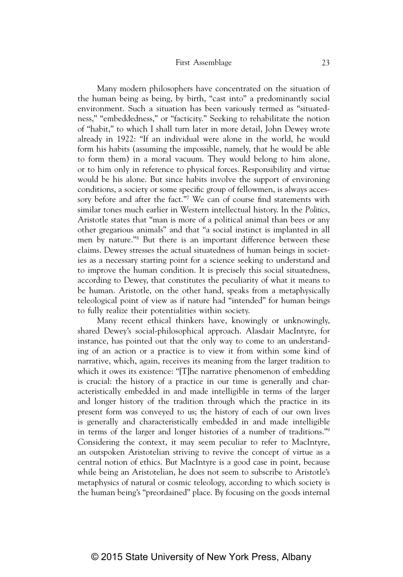Many modern philosophers have concentrated on the situation of the human being as being, by birth, "cast into" a predominantly social environment. Such a situation has been variously termed as "situatedness," "embeddedness," or "facticity." Seeking to rehabilitate the notion of "habit," to which I shall turn later in more detail, John Dewey wrote already in 1922: "If an individual were alone in the world, he would form his habits (assuming the impossible, namely, that he would be able to form them) in a moral vacuum. They would belong to him alone, or to him only in reference to physical forces. Responsibility and virtue would be his alone. But since habits involve the support of environing conditions, a society or some specific group of fellowmen, is always accessory before and after the fact."<sup>7</sup> We can of course find statements with similar tones much earlier in Western intellectual history. In the *Politics*, Aristotle states that "man is more of a political animal than bees or any other gregarious animals" and that "a social instinct is implanted in all men by nature."8 But there is an important difference between these claims. Dewey stresses the actual situatedness of human beings in societies as a necessary starting point for a science seeking to understand and to improve the human condition. It is precisely this social situatedness, according to Dewey, that constitutes the peculiarity of what it means to be human. Aristotle, on the other hand, speaks from a metaphysically teleological point of view as if nature had "intended" for human beings to fully realize their potentialities within society.

Many recent ethical thinkers have, knowingly or unknowingly, shared Dewey's social-philosophical approach. Alasdair MacIntyre, for instance, has pointed out that the only way to come to an understanding of an action or a practice is to view it from within some kind of narrative, which, again, receives its meaning from the larger tradition to which it owes its existence: "[T]he narrative phenomenon of embedding is crucial: the history of a practice in our time is generally and characteristically embedded in and made intelligible in terms of the larger and longer history of the tradition through which the practice in its present form was conveyed to us; the history of each of our own lives is generally and characteristically embedded in and made intelligible in terms of the larger and longer histories of a number of traditions."9 Considering the context, it may seem peculiar to refer to MacIntyre, an outspoken Aristotelian striving to revive the concept of virtue as a central notion of ethics. But MacIntyre is a good case in point, because while being an Aristotelian, he does not seem to subscribe to Aristotle's metaphysics of natural or cosmic teleology, according to which society is the human being's "preordained" place. By focusing on the goods internal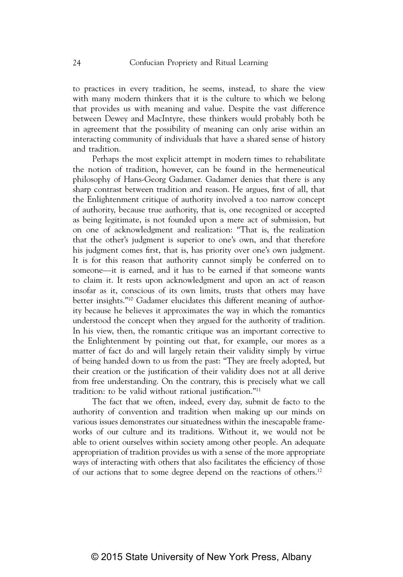to practices in every tradition, he seems, instead, to share the view with many modern thinkers that it is the culture to which we belong that provides us with meaning and value. Despite the vast difference between Dewey and MacIntyre, these thinkers would probably both be in agreement that the possibility of meaning can only arise within an interacting community of individuals that have a shared sense of history and tradition.

Perhaps the most explicit attempt in modern times to rehabilitate the notion of tradition, however, can be found in the hermeneutical philosophy of Hans-Georg Gadamer. Gadamer denies that there is any sharp contrast between tradition and reason. He argues, first of all, that the Enlightenment critique of authority involved a too narrow concept of authority, because true authority, that is, one recognized or accepted as being legitimate, is not founded upon a mere act of submission, but on one of acknowledgment and realization: "That is, the realization that the other's judgment is superior to one's own, and that therefore his judgment comes first, that is, has priority over one's own judgment. It is for this reason that authority cannot simply be conferred on to someone—it is earned, and it has to be earned if that someone wants to claim it. It rests upon acknowledgment and upon an act of reason insofar as it, conscious of its own limits, trusts that others may have better insights."10 Gadamer elucidates this different meaning of authority because he believes it approximates the way in which the romantics understood the concept when they argued for the authority of tradition. In his view, then, the romantic critique was an important corrective to the Enlightenment by pointing out that, for example, our mores as a matter of fact do and will largely retain their validity simply by virtue of being handed down to us from the past: "They are freely adopted, but their creation or the justification of their validity does not at all derive from free understanding. On the contrary, this is precisely what we call tradition: to be valid without rational justification."11

The fact that we often, indeed, every day, submit de facto to the authority of convention and tradition when making up our minds on various issues demonstrates our situatedness within the inescapable frameworks of our culture and its traditions. Without it, we would not be able to orient ourselves within society among other people. An adequate appropriation of tradition provides us with a sense of the more appropriate ways of interacting with others that also facilitates the efficiency of those of our actions that to some degree depend on the *re*actions of others.12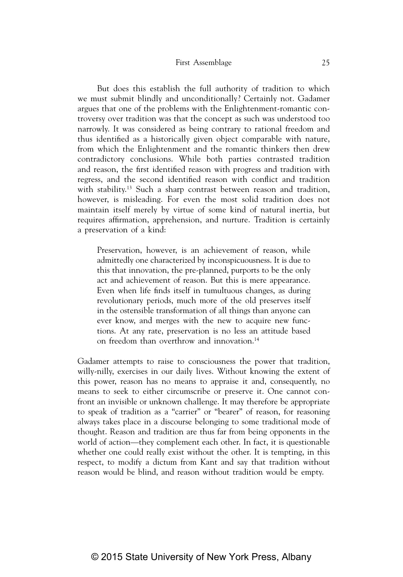But does this establish the full authority of tradition to which we must submit blindly and unconditionally? Certainly not. Gadamer argues that one of the problems with the Enlightenment-romantic controversy over tradition was that the concept as such was understood too narrowly. It was considered as being contrary to rational freedom and thus identified as a historically given object comparable with nature, from which the Enlightenment and the romantic thinkers then drew contradictory conclusions. While both parties contrasted tradition and reason, the first identified reason with progress and tradition with regress, and the second identified reason with conflict and tradition with stability.<sup>13</sup> Such a sharp contrast between reason and tradition, however, is misleading. For even the most solid tradition does not maintain itself merely by virtue of some kind of natural inertia, but requires affirmation, apprehension, and nurture. Tradition is certainly a preservation of a kind:

Preservation, however, is an achievement of reason, while admittedly one characterized by inconspicuousness. It is due to this that innovation, the pre-planned, purports to be the only act and achievement of reason. But this is mere appearance. Even when life finds itself in tumultuous changes, as during revolutionary periods, much more of the old preserves itself in the ostensible transformation of all things than anyone can ever know, and merges with the new to acquire new functions. At any rate, preservation is no less an attitude based on freedom than overthrow and innovation.14

Gadamer attempts to raise to consciousness the power that tradition, willy-nilly, exercises in our daily lives. Without knowing the extent of this power, reason has no means to appraise it and, consequently, no means to seek to either circumscribe or preserve it. One cannot confront an invisible or unknown challenge. It may therefore be appropriate to speak of tradition as a "carrier" or "bearer" of reason, for reasoning always takes place in a discourse belonging to some traditional mode of thought. Reason and tradition are thus far from being opponents in the world of action—they complement each other. In fact, it is questionable whether one could really exist without the other. It is tempting, in this respect, to modify a dictum from Kant and say that tradition without reason would be blind, and reason without tradition would be empty.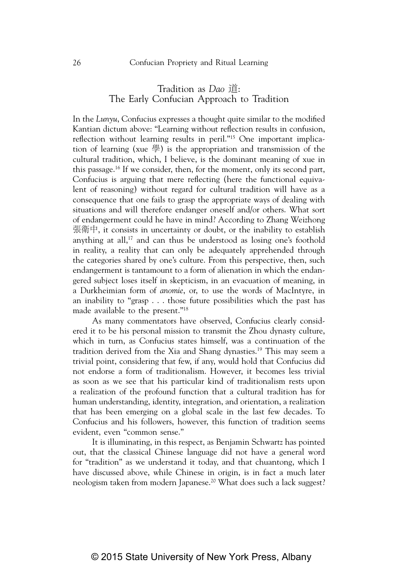# Tradition as *Dao* 道: The Early Confucian Approach to Tradition

In the *Lunyu*, Confucius expresses a thought quite similar to the modified Kantian dictum above: "Learning without reflection results in confusion, reflection without learning results in peril."15 One important implication of learning (xue 學) is the appropriation and transmission of the cultural tradition, which, I believe, is the dominant meaning of xue in this passage.16 If we consider, then, for the moment, only its second part, Confucius is arguing that mere reflecting (here the functional equivalent of reasoning) without regard for cultural tradition will have as a consequence that one fails to grasp the appropriate ways of dealing with situations and will therefore endanger oneself and/or others. What sort of endangerment could he have in mind? According to Zhang Weizhong 張衛中, it consists in uncertainty or doubt, or the inability to establish anything at all, $17$  and can thus be understood as losing one's foothold in reality, a reality that can only be adequately apprehended through the categories shared by one's culture. From this perspective, then, such endangerment is tantamount to a form of alienation in which the endangered subject loses itself in skepticism, in an evacuation of meaning, in a Durkheimian form of *anomie*, or, to use the words of MacIntyre, in an inability to "grasp . . . those future possibilities which the past has made available to the present."18

As many commentators have observed, Confucius clearly considered it to be his personal mission to transmit the Zhou dynasty culture, which in turn, as Confucius states himself, was a continuation of the tradition derived from the Xia and Shang dynasties.19 This may seem a trivial point, considering that few, if any, would hold that Confucius did not endorse a form of traditionalism. However, it becomes less trivial as soon as we see that his particular kind of traditionalism rests upon a realization of the profound function that a cultural tradition has for human understanding, identity, integration, and orientation, a realization that has been emerging on a global scale in the last few decades. To Confucius and his followers, however, this function of tradition seems evident, even "common sense."

It is illuminating, in this respect, as Benjamin Schwartz has pointed out, that the classical Chinese language did not have a general word for "tradition" as we understand it today, and that chuantong, which I have discussed above, while Chinese in origin, is in fact a much later neologism taken from modern Japanese.20 What does such a lack suggest?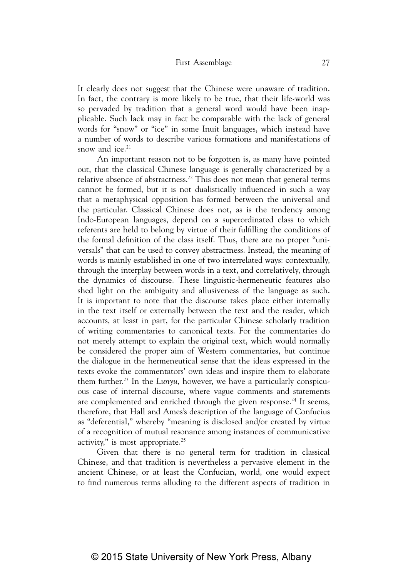It clearly does not suggest that the Chinese were unaware of tradition. In fact, the contrary is more likely to be true, that their life-world was so pervaded by tradition that a general word would have been inapplicable. Such lack may in fact be comparable with the lack of general words for "snow" or "ice" in some Inuit languages, which instead have a number of words to describe various formations and manifestations of snow and ice. $21$ 

An important reason not to be forgotten is, as many have pointed out, that the classical Chinese language is generally characterized by a relative absence of abstractness.<sup>22</sup> This does not mean that general terms cannot be formed, but it is not dualistically influenced in such a way that a metaphysical opposition has formed between the universal and the particular. Classical Chinese does not, as is the tendency among Indo-European languages, depend on a superordinated class to which referents are held to belong by virtue of their fulfilling the conditions of the formal definition of the class itself. Thus, there are no proper "universals" that can be used to convey abstractness. Instead, the meaning of words is mainly established in one of two interrelated ways: contextually, through the interplay between words in a text, and correlatively, through the dynamics of discourse. These linguistic-hermeneutic features also shed light on the ambiguity and allusiveness of the language as such. It is important to note that the discourse takes place either internally in the text itself or externally between the text and the reader, which accounts, at least in part, for the particular Chinese scholarly tradition of writing commentaries to canonical texts. For the commentaries do not merely attempt to explain the original text, which would normally be considered the proper aim of Western commentaries, but continue the dialogue in the hermeneutical sense that the ideas expressed in the texts evoke the commentators' own ideas and inspire them to elaborate them further.23 In the *Lunyu*, however, we have a particularly conspicuous case of internal discourse, where vague comments and statements are complemented and enriched through the given response.<sup>24</sup> It seems, therefore, that Hall and Ames's description of the language of Confucius as "deferential," whereby "meaning is disclosed and/or created by virtue of a recognition of mutual resonance among instances of communicative activity," is most appropriate.<sup>25</sup>

Given that there is no general term for tradition in classical Chinese, and that tradition is nevertheless a pervasive element in the ancient Chinese, or at least the Confucian, world, one would expect to find numerous terms alluding to the different aspects of tradition in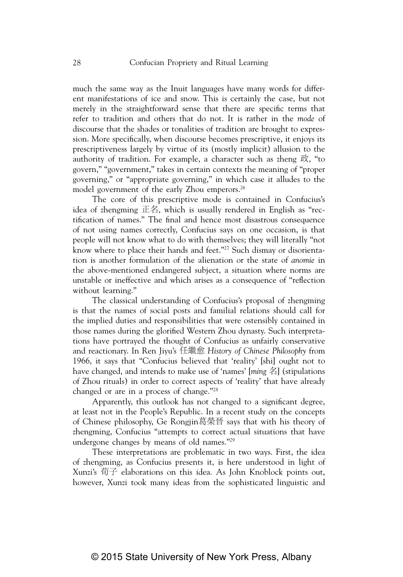much the same way as the Inuit languages have many words for different manifestations of ice and snow. This is certainly the case, but not merely in the straightforward sense that there are specific terms that refer to tradition and others that do not. It is rather in the *mode* of discourse that the shades or tonalities of tradition are brought to expression. More specifically, when discourse becomes prescriptive, it enjoys its prescriptiveness largely by virtue of its (mostly implicit) allusion to the authority of tradition. For example, a character such as zheng  $\mathbb{B}$ , "to govern," "government," takes in certain contexts the meaning of "proper governing," or "appropriate governing," in which case it alludes to the model government of the early Zhou emperors.<sup>26</sup>

The core of this prescriptive mode is contained in Confucius's idea of zhengming 正名, which is usually rendered in English as "rectification of names." The final and hence most disastrous consequence of not using names correctly, Confucius says on one occasion, is that people will not know what to do with themselves; they will literally "not know where to place their hands and feet."<sup>27</sup> Such dismay or disorientation is another formulation of the alienation or the state of *anomie* in the above-mentioned endangered subject, a situation where norms are unstable or ineffective and which arises as a consequence of "reflection without learning."

The classical understanding of Confucius's proposal of zhengming is that the names of social posts and familial relations should call for the implied duties and responsibilities that were ostensibly contained in those names during the glorified Western Zhou dynasty. Such interpretations have portrayed the thought of Confucius as unfairly conservative and reactionary. In Ren Jiyu's 任繼愈 *History of Chinese Philosophy* from 1966, it says that "Confucius believed that 'reality' [shi] ought not to have changed, and intends to make use of 'names' [*ming* 名] (stipulations of Zhou rituals) in order to correct aspects of 'reality' that have already changed or are in a process of change."28

Apparently, this outlook has not changed to a significant degree, at least not in the People's Republic. In a recent study on the concepts of Chinese philosophy, Ge Rongjin葛榮晉 says that with his theory of zhengming, Confucius "attempts to correct actual situations that have undergone changes by means of old names."29

These interpretations are problematic in two ways. First, the idea of zhengming, as Confucius presents it, is here understood in light of Xunzi's 荀子 elaborations on this idea. As John Knoblock points out, however, Xunzi took many ideas from the sophisticated linguistic and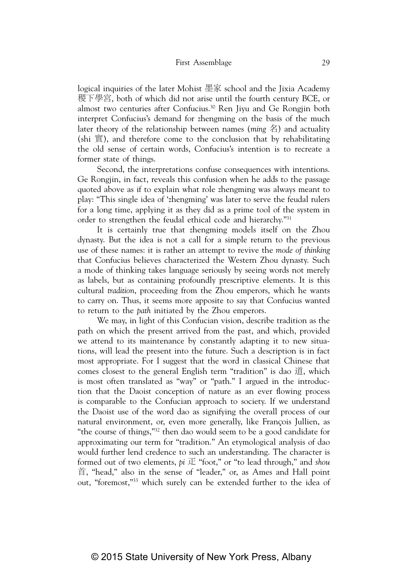logical inquiries of the later Mohist 墨家 school and the Jixia Academy 稷下學宮, both of which did not arise until the fourth century BCE, or almost two centuries after Confucius.<sup>30</sup> Ren Jiyu and Ge Rongjin both interpret Confucius's demand for zhengming on the basis of the much later theory of the relationship between names (*ming* 名) and actuality (shi 實), and therefore come to the conclusion that by rehabilitating the old sense of certain words, Confucius's intention is to recreate a former state of things.

Second, the interpretations confuse consequences with intentions. Ge Rongjin, in fact, reveals this confusion when he adds to the passage quoted above as if to explain what role zhengming was always meant to play: "This single idea of 'zhengming' was later to serve the feudal rulers for a long time, applying it as they did as a prime tool of the system in order to strengthen the feudal ethical code and hierarchy."31

It is certainly true that zhengming models itself on the Zhou dynasty. But the idea is not a call for a simple return to the previous use of these names: it is rather an attempt to revive the *mode of thinking*  that Confucius believes characterized the Western Zhou dynasty. Such a mode of thinking takes language seriously by seeing words not merely as labels, but as containing profoundly prescriptive elements. It is this cultural *tradition*, proceeding from the Zhou emperors, which he wants to carry on. Thus, it seems more apposite to say that Confucius wanted to return to the *path* initiated by the Zhou emperors.

We may, in light of this Confucian vision, describe tradition as the path on which the present arrived from the past, and which, provided we attend to its maintenance by constantly adapting it to new situations, will lead the present into the future. Such a description is in fact most appropriate. For I suggest that the word in classical Chinese that comes closest to the general English term "tradition" is dao 道, which is most often translated as "way" or "path." I argued in the introduction that the Daoist conception of nature as an ever flowing process is comparable to the Confucian approach to society. If we understand the Daoist use of the word dao as signifying the overall process of our natural environment, or, even more generally, like François Jullien, as "the course of things,"32 then dao would seem to be a good candidate for approximating our term for "tradition." An etymological analysis of dao would further lend credence to such an understanding. The character is formed out of two elements, *pi* 疋 "foot," or "to lead through," and *shou*  首, "head," also in the sense of "leader," or, as Ames and Hall point out, "foremost,"33 which surely can be extended further to the idea of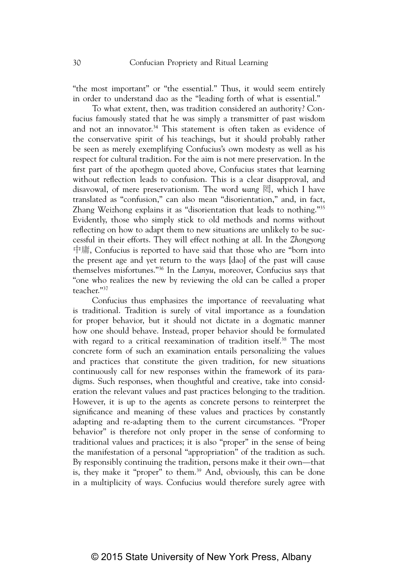"the most important" or "the essential." Thus, it would seem entirely in order to understand dao as the "leading forth of what is essential."

To what extent, then, was tradition considered an authority? Confucius famously stated that he was simply a transmitter of past wisdom and not an innovator.<sup>34</sup> This statement is often taken as evidence of the conservative spirit of his teachings, but it should probably rather be seen as merely exemplifying Confucius's own modesty as well as his respect for cultural tradition. For the aim is not mere preservation. In the first part of the apothegm quoted above, Confucius states that learning without reflection leads to confusion. This is a clear disapproval, and disavowal, of mere preservationism. The word *wang* 罔, which I have translated as "confusion," can also mean "disorientation," and, in fact, Zhang Weizhong explains it as "disorientation that leads to nothing."35 Evidently, those who simply stick to old methods and norms without reflecting on how to adapt them to new situations are unlikely to be successful in their efforts. They will effect nothing at all. In the *Zhongyong* 中庸, Confucius is reported to have said that those who are "born into the present age and yet return to the ways [dao] of the past will cause themselves misfortunes."36 In the *Lunyu*, moreover, Confucius says that "one who realizes the new by reviewing the old can be called a proper teacher."37

Confucius thus emphasizes the importance of reevaluating what is traditional. Tradition is surely of vital importance as a foundation for proper behavior, but it should not dictate in a dogmatic manner how one should behave. Instead, proper behavior should be formulated with regard to a critical reexamination of tradition itself.<sup>38</sup> The most concrete form of such an examination entails personalizing the values and practices that constitute the given tradition, for new situations continuously call for new responses within the framework of its paradigms. Such responses, when thoughtful and creative, take into consideration the relevant values and past practices belonging to the tradition. However, it is up to the agents as concrete persons to reinterpret the significance and meaning of these values and practices by constantly adapting and re-adapting them to the current circumstances. "Proper behavior" is therefore not only proper in the sense of conforming to traditional values and practices; it is also "proper" in the sense of being the manifestation of a personal "appropriation" of the tradition as such. By responsibly continuing the tradition, persons make it their own—that is, they make it "proper" to them.<sup>39</sup> And, obviously, this can be done in a multiplicity of ways. Confucius would therefore surely agree with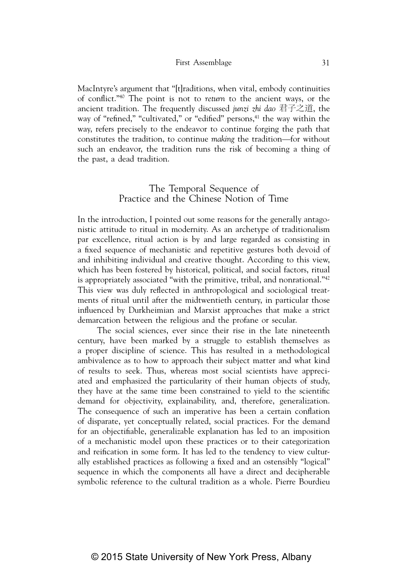MacIntyre's argument that "[t]raditions, when vital, embody continuities of conflict."40 The point is not to *return* to the ancient ways, or the ancient tradition. The frequently discussed *junzi zhi dao* 君子之道, the way of "refined," "cultivated," or "edified" persons,<sup>41</sup> the way within the way, refers precisely to the endeavor to continue forging the path that constitutes the tradition, to continue *making* the tradition—for without such an endeavor, the tradition runs the risk of becoming a thing of the past, a dead tradition.

# The Temporal Sequence of Practice and the Chinese Notion of Time

In the introduction, I pointed out some reasons for the generally antagonistic attitude to ritual in modernity. As an archetype of traditionalism par excellence, ritual action is by and large regarded as consisting in a fixed sequence of mechanistic and repetitive gestures both devoid of and inhibiting individual and creative thought. According to this view, which has been fostered by historical, political, and social factors, ritual is appropriately associated "with the primitive, tribal, and nonrational."42 This view was duly reflected in anthropological and sociological treatments of ritual until after the midtwentieth century, in particular those influenced by Durkheimian and Marxist approaches that make a strict demarcation between the religious and the profane or secular.

The social sciences, ever since their rise in the late nineteenth century, have been marked by a struggle to establish themselves as a proper discipline of science. This has resulted in a methodological ambivalence as to how to approach their subject matter and what kind of results to seek. Thus, whereas most social scientists have appreciated and emphasized the particularity of their human objects of study, they have at the same time been constrained to yield to the scientific demand for objectivity, explainability, and, therefore, generalization. The consequence of such an imperative has been a certain conflation of disparate, yet conceptually related, social practices. For the demand for an objectifiable, generalizable explanation has led to an imposition of a mechanistic model upon these practices or to their categorization and reification in some form. It has led to the tendency to view culturally established practices as following a fixed and an ostensibly "logical" sequence in which the components all have a direct and decipherable symbolic reference to the cultural tradition as a whole. Pierre Bourdieu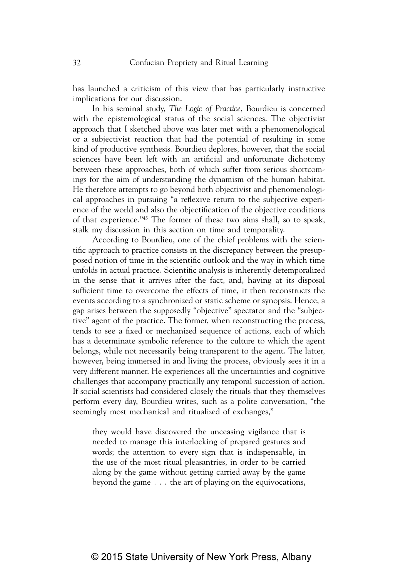has launched a criticism of this view that has particularly instructive implications for our discussion.

In his seminal study, *The Logic of Practice*, Bourdieu is concerned with the epistemological status of the social sciences. The objectivist approach that I sketched above was later met with a phenomenological or a subjectivist reaction that had the potential of resulting in some kind of productive synthesis. Bourdieu deplores, however, that the social sciences have been left with an artificial and unfortunate dichotomy between these approaches, both of which suffer from serious shortcomings for the aim of understanding the dynamism of the human habitat. He therefore attempts to go beyond both objectivist and phenomenological approaches in pursuing "a reflexive return to the subjective experience of the world and also the objectification of the objective conditions of that experience."43 The former of these two aims shall, so to speak, stalk my discussion in this section on time and temporality.

According to Bourdieu, one of the chief problems with the scientific approach to practice consists in the discrepancy between the presupposed notion of time in the scientific outlook and the way in which time unfolds in actual practice. Scientific analysis is inherently detemporalized in the sense that it arrives after the fact, and, having at its disposal sufficient time to overcome the effects of time, it then reconstructs the events according to a synchronized or static scheme or synopsis. Hence, a gap arises between the supposedly "objective" spectator and the "subjective" agent of the practice. The former, when reconstructing the process, tends to see a fixed or mechanized sequence of actions, each of which has a determinate symbolic reference to the culture to which the agent belongs, while not necessarily being transparent to the agent. The latter, however, being immersed in and living the process, obviously sees it in a very different manner. He experiences all the uncertainties and cognitive challenges that accompany practically any temporal succession of action. If social scientists had considered closely the rituals that they themselves perform every day, Bourdieu writes, such as a polite conversation, "the seemingly most mechanical and ritualized of exchanges,"

they would have discovered the unceasing vigilance that is needed to manage this interlocking of prepared gestures and words; the attention to every sign that is indispensable, in the use of the most ritual pleasantries, in order to be carried along by the game without getting carried away by the game beyond the game . . . the art of playing on the equivocations,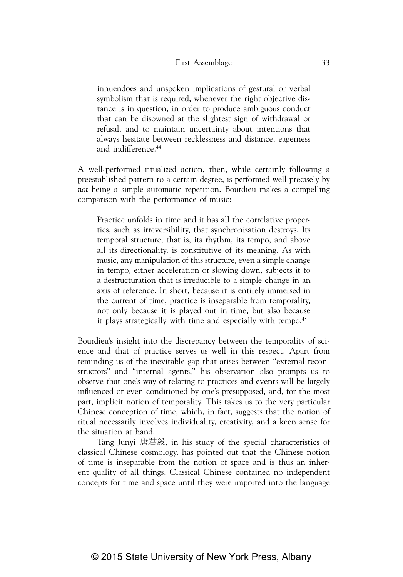innuendoes and unspoken implications of gestural or verbal symbolism that is required, whenever the right objective distance is in question, in order to produce ambiguous conduct that can be disowned at the slightest sign of withdrawal or refusal, and to maintain uncertainty about intentions that always hesitate between recklessness and distance, eagerness and indifference.<sup>44</sup>

A well-performed ritualized action, then, while certainly following a preestablished pattern to a certain degree, is performed well precisely by *not* being a simple automatic repetition. Bourdieu makes a compelling comparison with the performance of music:

Practice unfolds in time and it has all the correlative properties, such as irreversibility, that synchronization destroys. Its temporal structure, that is, its rhythm, its tempo, and above all its directionality, is constitutive of its meaning. As with music, any manipulation of this structure, even a simple change in tempo, either acceleration or slowing down, subjects it to a destructuration that is irreducible to a simple change in an axis of reference. In short, because it is entirely immersed in the current of time, practice is inseparable from temporality, not only because it is played out in time, but also because it plays strategically with time and especially with tempo.<sup>45</sup>

Bourdieu's insight into the discrepancy between the temporality of science and that of practice serves us well in this respect. Apart from reminding us of the inevitable gap that arises between "external reconstructors" and "internal agents," his observation also prompts us to observe that one's way of relating to practices and events will be largely influenced or even conditioned by one's presupposed, and, for the most part, implicit notion of temporality. This takes us to the very particular Chinese conception of time, which, in fact, suggests that the notion of ritual necessarily involves individuality, creativity, and a keen sense for the situation at hand.

Tang Junyi 唐君毅, in his study of the special characteristics of classical Chinese cosmology, has pointed out that the Chinese notion of time is inseparable from the notion of space and is thus an inherent quality of all things. Classical Chinese contained no independent concepts for time and space until they were imported into the language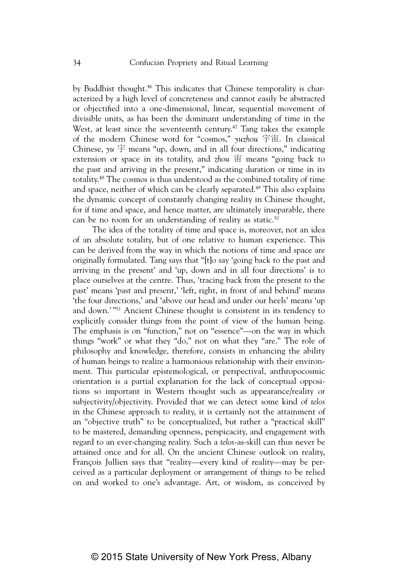by Buddhist thought.46 This indicates that Chinese temporality is characterized by a high level of concreteness and cannot easily be abstracted or objectified into a one-dimensional, linear, sequential movement of divisible units, as has been the dominant understanding of time in the West, at least since the seventeenth century.<sup>47</sup> Tang takes the example of the modern Chinese word for "cosmos," *yuzhou* 宇宙. In classical Chinese,  $\gamma u \nightharpoonup$  means "up, down, and in all four directions," indicating extension or space in its totality, and *zhou* 宙 means "going back to the past and arriving in the present," indicating duration or time in its totality.48 The cosmos is thus understood as the combined totality of time and space, neither of which can be clearly separated.<sup>49</sup> This also explains the dynamic concept of constantly changing reality in Chinese thought, for if time and space, and hence matter, are ultimately inseparable, there can be no room for an understanding of reality as static.<sup>50</sup>

The idea of the totality of time and space is, moreover, not an idea of an absolute totality, but of one relative to human experience. This can be derived from the way in which the notions of time and space are originally formulated. Tang says that "[t]o say 'going back to the past and arriving in the present' and 'up, down and in all four directions' is to place ourselves at the centre. Thus, 'tracing back from the present to the past' means 'past and present,' 'left, right, in front of and behind' means 'the four directions,' and 'above our head and under our heels' means 'up and down.'"51 Ancient Chinese thought is consistent in its tendency to explicitly consider things from the point of view of the human being. The emphasis is on "function," not on "essence"—on the way in which things "work" or what they "do," not on what they "are." The role of philosophy and knowledge, therefore, consists in enhancing the ability of human beings to realize a harmonious relationship with their environment. This particular epistemological, or perspectival, anthropocosmic orientation is a partial explanation for the lack of conceptual oppositions so important in Western thought such as appearance/reality or subjectivity/objectivity. Provided that we can detect some kind of *telos* in the Chinese approach to reality, it is certainly not the attainment of an "objective truth" to be conceptualized, but rather a "practical skill" to be mastered, demanding openness, perspicacity, and engagement with regard to an ever-changing reality. Such a *telos*-as-skill can thus never be attained once and for all. On the ancient Chinese outlook on reality, François Jullien says that "reality—every kind of reality—may be perceived as a particular deployment or arrangement of things to be relied on and worked to one's advantage. Art, or wisdom, as conceived by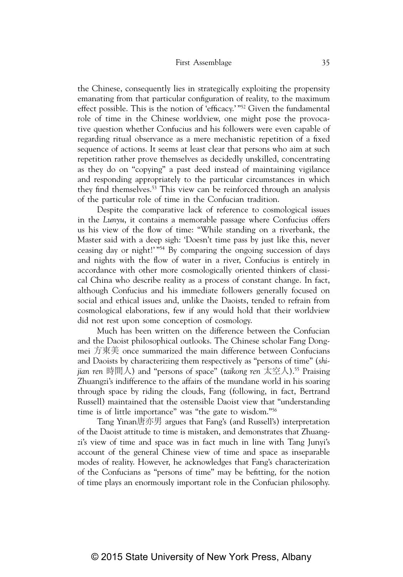the Chinese, consequently lies in strategically exploiting the propensity emanating from that particular configuration of reality, to the maximum effect possible. This is the notion of 'efficacy.'"52 Given the fundamental role of time in the Chinese worldview, one might pose the provocative question whether Confucius and his followers were even capable of regarding ritual observance as a mere mechanistic repetition of a fixed sequence of actions. It seems at least clear that persons who aim at such repetition rather prove themselves as decidedly unskilled, concentrating as they do on "copying" a past deed instead of maintaining vigilance and responding appropriately to the particular circumstances in which they find themselves.<sup>53</sup> This view can be reinforced through an analysis of the particular role of time in the Confucian tradition.

Despite the comparative lack of reference to cosmological issues in the *Lunyu*, it contains a memorable passage where Confucius offers us his view of the flow of time: "While standing on a riverbank, the Master said with a deep sigh: 'Doesn't time pass by just like this, never ceasing day or night!'"54 By comparing the ongoing succession of days and nights with the flow of water in a river, Confucius is entirely in accordance with other more cosmologically oriented thinkers of classical China who describe reality as a process of constant change. In fact, although Confucius and his immediate followers generally focused on social and ethical issues and, unlike the Daoists, tended to refrain from cosmological elaborations, few if any would hold that their worldview did not rest upon some conception of cosmology.

Much has been written on the difference between the Confucian and the Daoist philosophical outlooks. The Chinese scholar Fang Dongmei 方東美 once summarized the main difference between Confucians and Daoists by characterizing them respectively as "persons of time" (*shijian ren* 時間人) and "persons of space" (*taikong ren* 太空人).55 Praising Zhuangzi's indifference to the affairs of the mundane world in his soaring through space by riding the clouds, Fang (following, in fact, Bertrand Russell) maintained that the ostensible Daoist view that "understanding time is of little importance" was "the gate to wisdom."56

Tang Yinan唐亦男 argues that Fang's (and Russell's) interpretation of the Daoist attitude to time is mistaken, and demonstrates that Zhuangzi's view of time and space was in fact much in line with Tang Junyi's account of the general Chinese view of time and space as inseparable modes of reality. However, he acknowledges that Fang's characterization of the Confucians as "persons of time" may be befitting, for the notion of time plays an enormously important role in the Confucian philosophy.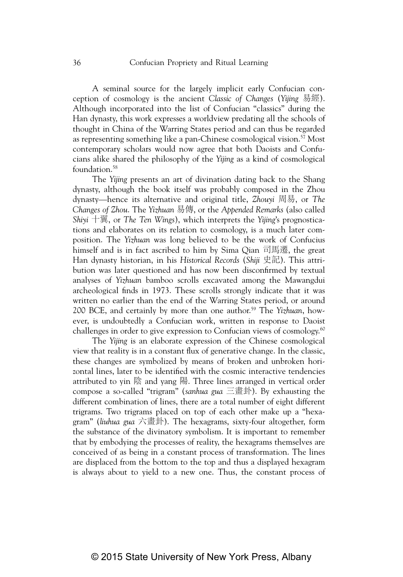A seminal source for the largely implicit early Confucian conception of cosmology is the ancient *Classic of Changes* (*Yijing* 易經). Although incorporated into the list of Confucian "classics" during the Han dynasty, this work expresses a worldview predating all the schools of thought in China of the Warring States period and can thus be regarded as representing something like a pan-Chinese cosmological vision.57 Most contemporary scholars would now agree that both Daoists and Confucians alike shared the philosophy of the *Yijing* as a kind of cosmological foundation.<sup>58</sup>

The *Yijing* presents an art of divination dating back to the Shang dynasty, although the book itself was probably composed in the Zhou dynasty—hence its alternative and original title, *Zhouyi* 周易, or *The Changes of Zhou*. The *Yizhuan* 易傳, or the *Appended Remarks* (also called *Shiyi* 十翼, or *The Ten Wings*), which interprets the *Yijing*'s prognostications and elaborates on its relation to cosmology, is a much later composition. The *Yizhuan* was long believed to be the work of Confucius himself and is in fact ascribed to him by Sima Qian 司馬遷, the great Han dynasty historian, in his *Historical Records* (*Shiji* 史記). This attribution was later questioned and has now been disconfirmed by textual analyses of *Yizhuan* bamboo scrolls excavated among the Mawangdui archeological finds in 1973. These scrolls strongly indicate that it was written no earlier than the end of the Warring States period, or around 200 BCE, and certainly by more than one author.59 The *Yizhuan*, however, is undoubtedly a Confucian work, written in response to Daoist challenges in order to give expression to Confucian views of cosmology. $60$ 

The *Yijing* is an elaborate expression of the Chinese cosmological view that reality is in a constant flux of generative change. In the classic, these changes are symbolized by means of broken and unbroken horizontal lines, later to be identified with the cosmic interactive tendencies attributed to yin 陰 and yang 陽. Three lines arranged in vertical order compose a so-called "trigram" (*sanhua gua* 三畫卦). By exhausting the different combination of lines, there are a total number of eight different trigrams. Two trigrams placed on top of each other make up a "hexagram" (*liuhua gua* 六畫卦). The hexagrams, sixty-four altogether, form the substance of the divinatory symbolism. It is important to remember that by embodying the processes of reality, the hexagrams themselves are conceived of as being in a constant process of transformation. The lines are displaced from the bottom to the top and thus a displayed hexagram is always about to yield to a new one. Thus, the constant process of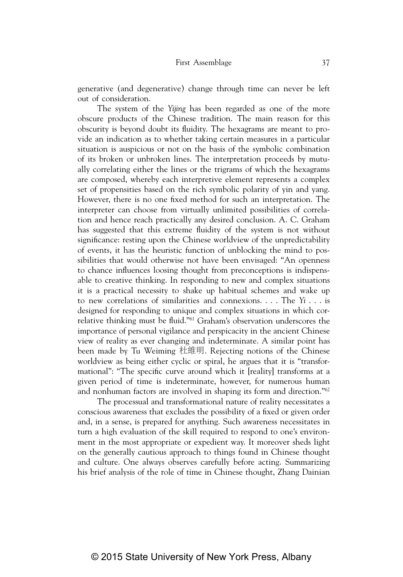generative (and degenerative) change through time can never be left out of consideration.

The system of the *Yijing* has been regarded as one of the more obscure products of the Chinese tradition. The main reason for this obscurity is beyond doubt its fluidity. The hexagrams are meant to provide an indication as to whether taking certain measures in a particular situation is auspicious or not on the basis of the symbolic combination of its broken or unbroken lines. The interpretation proceeds by mutually correlating either the lines or the trigrams of which the hexagrams are composed, whereby each interpretive element represents a complex set of propensities based on the rich symbolic polarity of yin and yang. However, there is no one fixed method for such an interpretation. The interpreter can choose from virtually unlimited possibilities of correlation and hence reach practically any desired conclusion. A. C. Graham has suggested that this extreme fluidity of the system is not without significance: resting upon the Chinese worldview of the unpredictability of events, it has the heuristic function of unblocking the mind to possibilities that would otherwise not have been envisaged: "An openness to chance influences loosing thought from preconceptions is indispensable to creative thinking. In responding to new and complex situations it is a practical necessity to shake up habitual schemes and wake up to new correlations of similarities and connexions. . . . The *Yi* . . . is designed for responding to unique and complex situations in which correlative thinking must be fluid."61 Graham's observation underscores the importance of personal vigilance and perspicacity in the ancient Chinese view of reality as ever changing and indeterminate. A similar point has been made by Tu Weiming 杜維明. Rejecting notions of the Chinese worldview as being either cyclic or spiral, he argues that it is "transformational": "The specific curve around which it [reality] transforms at a given period of time is indeterminate, however, for numerous human and nonhuman factors are involved in shaping its form and direction."62

The processual and transformational nature of reality necessitates a conscious awareness that excludes the possibility of a fixed or given order and, in a sense, is prepared for anything. Such awareness necessitates in turn a high evaluation of the skill required to respond to one's environment in the most appropriate or expedient way. It moreover sheds light on the generally cautious approach to things found in Chinese thought and culture. One always observes carefully before acting. Summarizing his brief analysis of the role of time in Chinese thought, Zhang Dainian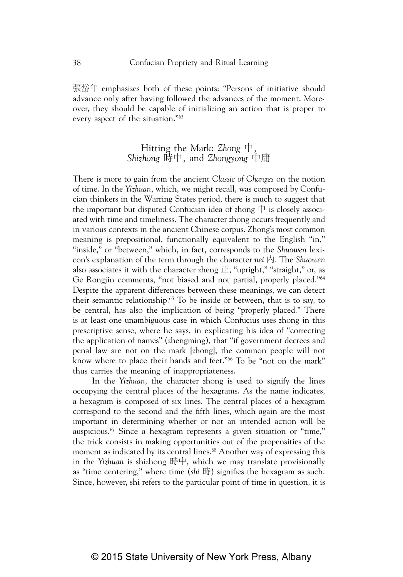張岱年 emphasizes both of these points: "Persons of initiative should advance only after having followed the advances of the moment. Moreover, they should be capable of initializing an action that is proper to every aspect of the situation."63

> Hitting the Mark: *Zhong* 中*, Shizhong* 時中*,* and *Zhongyong* 中庸

There is more to gain from the ancient *Classic of Changes* on the notion of time. In the *Yizhuan*, which, we might recall, was composed by Confucian thinkers in the Warring States period, there is much to suggest that the important but disputed Confucian idea of zhong  $\#$  is closely associated with time and timeliness. The character zhong occurs frequently and in various contexts in the ancient Chinese corpus. Zhong's most common meaning is prepositional, functionally equivalent to the English "in," "inside," or "between," which, in fact, corresponds to the *Shuowen* lexicon's explanation of the term through the character *nei* 內. The *Shuowen* also associates it with the character zheng  $\mathbb E$ , "upright," "straight," or, as Ge Rongjin comments, "not biased and not partial, properly placed."64 Despite the apparent differences between these meanings, we can detect their semantic relationship.65 To be inside or between, that is to say, to be central, has also the implication of being "properly placed." There is at least one unambiguous case in which Confucius uses zhong in this prescriptive sense, where he says, in explicating his idea of "correcting the application of names" (zhengming), that "if government decrees and penal law are not on the mark [zhong], the common people will not know where to place their hands and feet."<sup>66</sup> To be "not on the mark" thus carries the meaning of inappropriateness.

In the *Yizhuan*, the character zhong is used to signify the lines occupying the central places of the hexagrams. As the name indicates, a hexagram is composed of six lines. The central places of a hexagram correspond to the second and the fifth lines, which again are the most important in determining whether or not an intended action will be auspicious.67 Since a hexagram represents a given situation or "time," the trick consists in making opportunities out of the propensities of the moment as indicated by its central lines.<sup>68</sup> Another way of expressing this in the *Yizhuan* is shizhong 時中, which we may translate provisionally as "time centering," where time (*shi* 時) signifies the hexagram as such. Since, however, shi refers to the particular point of time in question, it is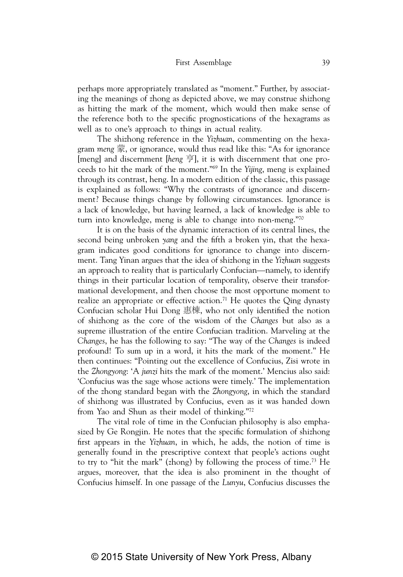perhaps more appropriately translated as "moment." Further, by associating the meanings of zhong as depicted above, we may construe shizhong as hitting the mark of the moment, which would then make sense of the reference both to the specific prognostications of the hexagrams as well as to one's approach to things in actual reality.

The shizhong reference in the *Yizhuan*, commenting on the hexagram *meng* 蒙, or ignorance, would thus read like this: "As for ignorance [meng] and discernment [*heng* 亨], it is with discernment that one proceeds to hit the mark of the moment."69 In the *Yijing*, meng is explained through its contrast, heng. In a modern edition of the classic, this passage is explained as follows: "Why the contrasts of ignorance and discernment? Because things change by following circumstances. Ignorance is a lack of knowledge, but having learned, a lack of knowledge is able to turn into knowledge, meng is able to change into non-meng."70

It is on the basis of the dynamic interaction of its central lines, the second being unbroken *yang* and the fifth a broken yin, that the hexagram indicates good conditions for ignorance to change into discernment. Tang Yinan argues that the idea of shizhong in the *Yizhuan* suggests an approach to reality that is particularly Confucian—namely, to identify things in their particular location of temporality, observe their transformational development, and then choose the most opportune moment to realize an appropriate or effective action.<sup>71</sup> He quotes the Qing dynasty Confucian scholar Hui Dong 惠棟, who not only identified the notion of shizhong as the core of the wisdom of the *Changes* but also as a supreme illustration of the entire Confucian tradition. Marveling at the *Changes*, he has the following to say: "The way of the *Changes* is indeed profound! To sum up in a word, it hits the mark of the moment." He then continues: "Pointing out the excellence of Confucius, Zisi wrote in the *Zhongyong*: 'A *junzi* hits the mark of the moment.' Mencius also said: 'Confucius was the sage whose actions were timely.' The implementation of the zhong standard began with the *Zhongyong*, in which the standard of shizhong was illustrated by Confucius, even as it was handed down from Yao and Shun as their model of thinking."72

The vital role of time in the Confucian philosophy is also emphasized by Ge Rongjin. He notes that the specific formulation of shizhong first appears in the *Yizhuan*, in which, he adds, the notion of time is generally found in the prescriptive context that people's actions ought to try to "hit the mark" (zhong) by following the process of time.73 He argues, moreover, that the idea is also prominent in the thought of Confucius himself. In one passage of the *Lunyu*, Confucius discusses the